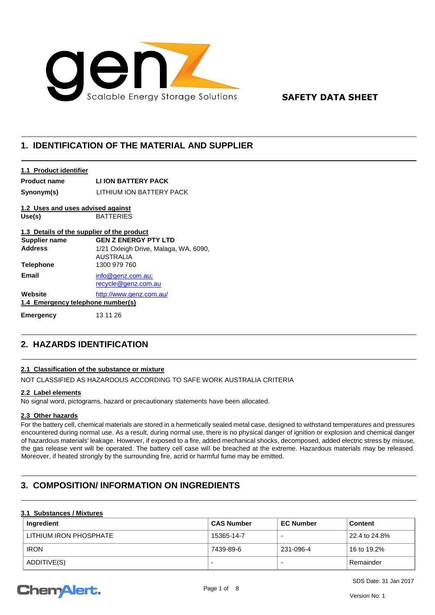

### **SAFETY DATA SHEET**

### **1. IDENTIFICATION OF THE MATERIAL AND SUPPLIER**

#### **1.1 Product identifier**

**Product name LI ION BATTERY PACK**

**Synonym(s)** LITHIUM ION BATTERY PACK

## **1.2 Uses and uses advised against**

**Use(s)** BATTERIES

### **1.3 Details of the supplier of the product**

| <b>Supplier name</b>                         | <b>GEN Z ENERGY PTY LTD</b>                               |
|----------------------------------------------|-----------------------------------------------------------|
| <b>Address</b>                               | 1/21 Oxleigh Drive, Malaga, WA, 6090,<br><b>AUSTRALIA</b> |
| <b>Telephone</b>                             | 1300 979 760                                              |
| Email                                        | info@qenz.com.au<br>recycle@genz.com.au                   |
| Website<br>1.4 Emergency telephone number(s) | http://www.genz.com.au/                                   |
| Emergency                                    | 13 11 26                                                  |

## **2. HAZARDS IDENTIFICATION**

### **2.1 Classification of the substance or mixture**

NOT CLASSIFIED AS HAZARDOUS ACCORDING TO SAFE WORK AUSTRALIA CRITERIA

#### **2.2 Label elements**

No signal word, pictograms, hazard or precautionary statements have been allocated.

### **2.3 Other hazards**

For the battery cell, chemical materials are stored in a hermetically sealed metal case, designed to withstand temperatures and pressures encountered during normal use. As a result, during normal use, there is no physical danger of ignition or explosion and chemical danger of hazardous materials' leakage. However, if exposed to a fire, added mechanical shocks, decomposed, added electric stress by misuse, the gas release vent will be operated. The battery cell case will be breached at the extreme. Hazardous materials may be released. Moreover, if heated strongly by the surrounding fire, acrid or harmful fume may be emitted.

## **3. COMPOSITION/ INFORMATION ON INGREDIENTS**

### **3.1 Substances / Mixtures**

| Ingredient             | ∣ CAS Number | <b>EC Number</b> | <b>Content</b> |
|------------------------|--------------|------------------|----------------|
| LITHIUM IRON PHOSPHATE | 15365-14-7   | -                | 22.4 to 24.8%  |
| <b>IRON</b>            | 7439-89-6    | 231-096-4        | 16 to 19.2%    |
| ADDITIVE(S)            |              |                  | Remainder      |

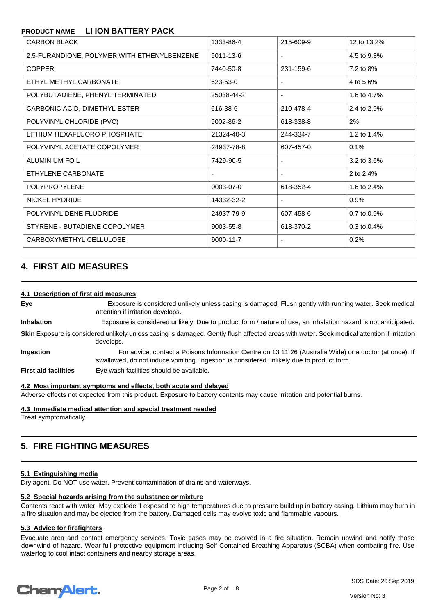| <b>CARBON BLACK</b>                         | 1333-86-4                | 215-609-9 | 12 to 13.2% |
|---------------------------------------------|--------------------------|-----------|-------------|
| 2,5-FURANDIONE, POLYMER WITH ETHENYLBENZENE | 9011-13-6                |           | 4.5 to 9.3% |
| <b>COPPER</b>                               | 7440-50-8                | 231-159-6 | 7.2 to 8%   |
| ETHYL METHYL CARBONATE                      | 623-53-0                 |           | 4 to 5.6%   |
| POLYBUTADIENE, PHENYL TERMINATED            | 25038-44-2               |           | 1.6 to 4.7% |
| CARBONIC ACID, DIMETHYL ESTER               | 616-38-6                 | 210-478-4 | 2.4 to 2.9% |
| POLYVINYL CHLORIDE (PVC)                    | 9002-86-2                | 618-338-8 | 2%          |
| LITHIUM HEXAFLUORO PHOSPHATE                | 21324-40-3               | 244-334-7 | 1.2 to 1.4% |
| POLYVINYL ACETATE COPOLYMER                 | 24937-78-8               | 607-457-0 | 0.1%        |
| <b>ALUMINIUM FOIL</b>                       | 7429-90-5                |           | 3.2 to 3.6% |
| ETHYLENE CARBONATE                          | $\overline{\phantom{a}}$ |           | 2 to 2.4%   |
| <b>POLYPROPYLENE</b>                        | 9003-07-0                | 618-352-4 | 1.6 to 2.4% |
| NICKEL HYDRIDE                              | 14332-32-2               |           | 0.9%        |
| POLYVINYLIDENE FLUORIDE                     | 24937-79-9               | 607-458-6 | 0.7 to 0.9% |
| STYRENE - BUTADIENE COPOLYMER               | 9003-55-8                | 618-370-2 | 0.3 to 0.4% |
| CARBOXYMETHYL CELLULOSE                     | 9000-11-7                |           | 0.2%        |

### **4. FIRST AID MEASURES**

#### **4.1 Description of first aid measures**

**Eye** Exposure is considered unlikely unless casing is damaged. Flush gently with running water. Seek medical attention if irritation develops. **Inhalation** Exposure is considered unlikely. Due to product form / nature of use, an inhalation hazard is not anticipated. Skin Exposure is considered unlikely unless casing is damaged. Gently flush affected areas with water. Seek medical attention if irritation develops. **Ingestion** For advice, contact a Poisons Information Centre on 13 11 26 (Australia Wide) or a doctor (at once). If swallowed, do not induce vomiting. Ingestion is considered unlikely due to product form. **First aid facilities** Eye wash facilities should be available.

**4.2 Most important symptoms and effects, both acute and delayed**

Adverse effects not expected from this product. Exposure to battery contents may cause irritation and potential burns.

**4.3 Immediate medical attention and special treatment needed** 

Treat symptomatically.

### **5. FIRE FIGHTING MEASURES**

#### **5.1 Extinguishing media**

Dry agent. Do NOT use water. Prevent contamination of drains and waterways.

#### **5.2 Special hazards arising from the substance or mixture**

Contents react with water. May explode if exposed to high temperatures due to pressure build up in battery casing. Lithium may burn in a fire situation and may be ejected from the battery. Damaged cells may evolve toxic and flammable vapours.

### **5.3 Advice for firefighters**

Evacuate area and contact emergency services. Toxic gases may be evolved in a fire situation. Remain upwind and notify those downwind of hazard. Wear full protective equipment including Self Contained Breathing Apparatus (SCBA) when combating fire. Use waterfog to cool intact containers and nearby storage areas.

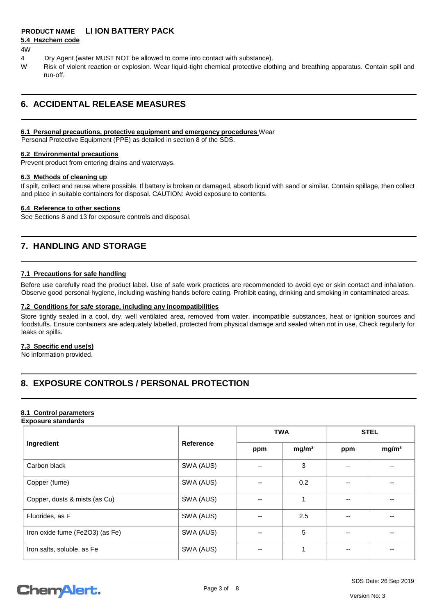### **5.4 Hazchem code**

#### 4W

- 4 Dry Agent (water MUST NOT be allowed to come into contact with substance).
- W Risk of violent reaction or explosion. Wear liquid-tight chemical protective clothing and breathing apparatus. Contain spill and run-off.

### **6. ACCIDENTAL RELEASE MEASURES**

### **6.1 Personal precautions, protective equipment and emergency procedures** Wear

Personal Protective Equipment (PPE) as detailed in section 8 of the SDS.

#### **6.2 Environmental precautions**

Prevent product from entering drains and waterways.

#### **6.3 Methods of cleaning up**

If spilt, collect and reuse where possible. If battery is broken or damaged, absorb liquid with sand or similar. Contain spillage, then collect and place in suitable containers for disposal. CAUTION: Avoid exposure to contents.

#### **6.4 Reference to other sections**

See Sections 8 and 13 for exposure controls and disposal.

### **7. HANDLING AND STORAGE**

#### **7.1 Precautions for safe handling**

Before use carefully read the product label. Use of safe work practices are recommended to avoid eye or skin contact and inhalation. Observe good personal hygiene, including washing hands before eating. Prohibit eating, drinking and smoking in contaminated areas.

#### **7.2 Conditions for safe storage, including any incompatibilities**

Store tightly sealed in a cool, dry, well ventilated area, removed from water, incompatible substances, heat or ignition sources and foodstuffs. Ensure containers are adequately labelled, protected from physical damage and sealed when not in use. Check regularly for leaks or spills.

### **7.3 Specific end use(s)**

No information provided.

## **8. EXPOSURE CONTROLS / PERSONAL PROTECTION**

#### **8.1 Control parameters Exposure standards**

|                                 | <b>Reference</b> | <b>TWA</b> |                   | <b>STEL</b> |                   |
|---------------------------------|------------------|------------|-------------------|-------------|-------------------|
| Ingredient                      |                  | ppm        | mg/m <sup>3</sup> | ppm         | mg/m <sup>3</sup> |
| Carbon black                    | SWA (AUS)        | --         | 3                 |             | --                |
| Copper (fume)                   | SWA (AUS)        | $-$        | 0.2               | --          | --                |
| Copper, dusts & mists (as Cu)   | SWA (AUS)        | --         |                   |             |                   |
| Fluorides, as F                 | SWA (AUS)        | --         | 2.5               | --          | --                |
| Iron oxide fume (Fe2O3) (as Fe) | SWA (AUS)        | --         | 5                 | --          | --                |
| Iron salts, soluble, as Fe      | SWA (AUS)        | --         |                   |             |                   |

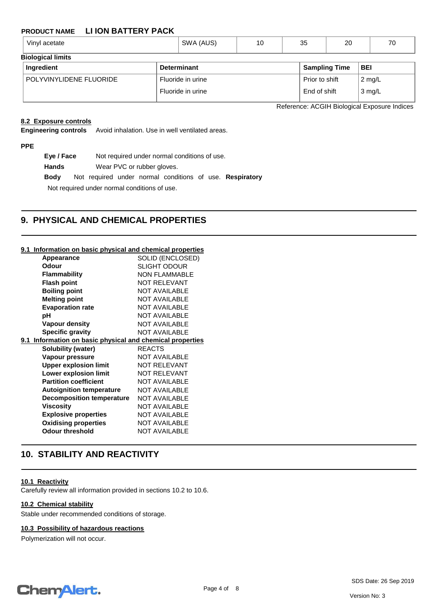| $\cdots$<br>Vinyl<br>acetate | SWA (AUS) | יי | n r<br>ູບບ | 20 | $\overline{\phantom{a}}$ |
|------------------------------|-----------|----|------------|----|--------------------------|
| <b>Riological limits</b>     |           |    |            |    |                          |

| <b>DIVIUYILAI IIIIIIIII</b> |                    |                      |                  |  |  |
|-----------------------------|--------------------|----------------------|------------------|--|--|
| Ingredient                  | <b>Determinant</b> | <b>Sampling Time</b> | <b>BEI</b>       |  |  |
| POLYVINYLIDENE FLUORIDE     | Fluoride in urine  | Prior to shift       | $2 \text{ mg/L}$ |  |  |
|                             | Fluoride in urine  | End of shift         | $\sqrt{3}$ mg/L  |  |  |

Reference: ACGIH Biological Exposure Indices

### **8.2 Exposure controls**

**Engineering controls** Avoid inhalation. Use in well ventilated areas.

**PPE**

**Eye / Face** Not required under normal conditions of use. **Hands** Wear PVC or rubber gloves. **Body** Not required under normal conditions of use. **Respiratory**

Not required under normal conditions of use.

### **9. PHYSICAL AND CHEMICAL PROPERTIES**

#### **9.1 Information on basic physical and chemical properties**

|       | <b>Appearance</b>                                     | SOLID (ENCLOSED)     |
|-------|-------------------------------------------------------|----------------------|
| Odour |                                                       | SLIGHT ODOUR         |
|       | <b>Flammability</b>                                   | <b>NON FLAMMABLE</b> |
|       | <b>Flash point</b>                                    | <b>NOT RELEVANT</b>  |
|       | <b>Boiling point</b>                                  | <b>NOT AVAILABLE</b> |
|       | <b>Melting point</b>                                  | <b>NOT AVAILABLE</b> |
|       | <b>Evaporation rate</b>                               | NOT AVAILABLE        |
| рH    |                                                       | <b>NOT AVAILABLE</b> |
|       | Vapour density                                        | NOT AVAILABLE        |
|       | <b>Specific gravity</b>                               | <b>NOT AVAILABLE</b> |
| 9.1   | Information on basic physical and chemical properties |                      |
|       | Solubility (water)                                    | <b>REACTS</b>        |
|       | Vapour pressure                                       | NOT AVAILABLE        |
|       | <b>Upper explosion limit</b>                          | <b>NOT RELEVANT</b>  |
|       | <b>Lower explosion limit</b>                          | <b>NOT RELEVANT</b>  |
|       | <b>Partition coefficient</b>                          | <b>NOT AVAILABLE</b> |
|       | <b>Autoignition temperature</b>                       | <b>NOT AVAILABLE</b> |
|       | <b>Decomposition temperature</b>                      | NOT AVAILABLE        |
|       | Viscosity                                             | <b>NOT AVAILABLE</b> |
|       | <b>Explosive properties</b>                           | <b>NOT AVAILABLE</b> |
|       | <b>Oxidising properties</b>                           | <b>NOT AVAILABLE</b> |
|       | <b>Odour threshold</b>                                | NOT AVAILABLE        |
|       |                                                       |                      |

### **10. STABILITY AND REACTIVITY**

#### **10.1 Reactivity**

Carefully review all information provided in sections 10.2 to 10.6.

#### **10.2 Chemical stability**

Stable under recommended conditions of storage.

### **10.3 Possibility of hazardous reactions**

Polymerization will not occur.

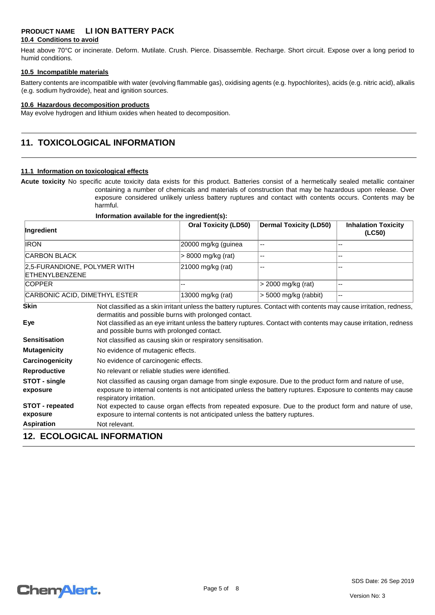#### **10.4 Conditions to avoid**

Heat above 70°C or incinerate. Deform. Mutilate. Crush. Pierce. Disassemble. Recharge. Short circuit. Expose over a long period to humid conditions.

#### **10.5 Incompatible materials**

Battery contents are incompatible with water (evolving flammable gas), oxidising agents (e.g. hypochlorites), acids (e.g. nitric acid), alkalis (e.g. sodium hydroxide), heat and ignition sources.

#### **10.6 Hazardous decomposition products**

May evolve hydrogen and lithium oxides when heated to decomposition.

### **11. TOXICOLOGICAL INFORMATION**

#### **11.1 Information on toxicological effects**

**Acute toxicity** No specific acute toxicity data exists for this product. Batteries consist of a hermetically sealed metallic container containing a number of chemicals and materials of construction that may be hazardous upon release. Over exposure considered unlikely unless battery ruptures and contact with contents occurs. Contents may be harmful.

#### **Information available for the ingredient(s):**

| Ingredient                                     |                                                                                                                                                                                                                                                    | <b>Oral Toxicity (LD50)</b>                                  | <b>Dermal Toxicity (LD50)</b>                                                                                       | <b>Inhalation Toxicity</b><br>(LC50) |
|------------------------------------------------|----------------------------------------------------------------------------------------------------------------------------------------------------------------------------------------------------------------------------------------------------|--------------------------------------------------------------|---------------------------------------------------------------------------------------------------------------------|--------------------------------------|
| <b>IRON</b>                                    |                                                                                                                                                                                                                                                    | 20000 mg/kg (guinea                                          | --                                                                                                                  | --                                   |
| <b>CARBON BLACK</b>                            |                                                                                                                                                                                                                                                    | > 8000 mg/kg (rat)                                           | $\overline{a}$                                                                                                      | --                                   |
| 2,5-FURANDIONE, POLYMER WITH<br>ETHENYLBENZENE |                                                                                                                                                                                                                                                    | 21000 mg/kg (rat)                                            | $\overline{a}$                                                                                                      |                                      |
| <b>COPPER</b>                                  |                                                                                                                                                                                                                                                    | --                                                           | $>$ 2000 mg/kg (rat)                                                                                                | --                                   |
| CARBONIC ACID, DIMETHYL ESTER                  |                                                                                                                                                                                                                                                    | 13000 mg/kg (rat)                                            | $>$ 5000 mg/kg (rabbit)                                                                                             | $-$                                  |
| <b>Skin</b>                                    |                                                                                                                                                                                                                                                    |                                                              | Not classified as a skin irritant unless the battery ruptures. Contact with contents may cause irritation, redness, |                                      |
| Eye                                            | dermatitis and possible burns with prolonged contact.<br>Not classified as an eye irritant unless the battery ruptures. Contact with contents may cause irritation, redness<br>and possible burns with prolonged contact.                          |                                                              |                                                                                                                     |                                      |
| <b>Sensitisation</b>                           |                                                                                                                                                                                                                                                    | Not classified as causing skin or respiratory sensitisation. |                                                                                                                     |                                      |
| <b>Mutagenicity</b>                            |                                                                                                                                                                                                                                                    | No evidence of mutagenic effects.                            |                                                                                                                     |                                      |
| Carcinogenicity                                | No evidence of carcinogenic effects.                                                                                                                                                                                                               |                                                              |                                                                                                                     |                                      |
| <b>Reproductive</b>                            |                                                                                                                                                                                                                                                    | No relevant or reliable studies were identified.             |                                                                                                                     |                                      |
| STOT - single<br>exposure                      | Not classified as causing organ damage from single exposure. Due to the product form and nature of use,<br>exposure to internal contents is not anticipated unless the battery ruptures. Exposure to contents may cause<br>respiratory irritation. |                                                              |                                                                                                                     |                                      |
| <b>STOT</b> - repeated<br>exposure             | Not expected to cause organ effects from repeated exposure. Due to the product form and nature of use,<br>exposure to internal contents is not anticipated unless the battery ruptures.                                                            |                                                              |                                                                                                                     |                                      |
| <b>Aspiration</b>                              | Not relevant.                                                                                                                                                                                                                                      |                                                              |                                                                                                                     |                                      |

### **12. ECOLOGICAL INFORMATION**

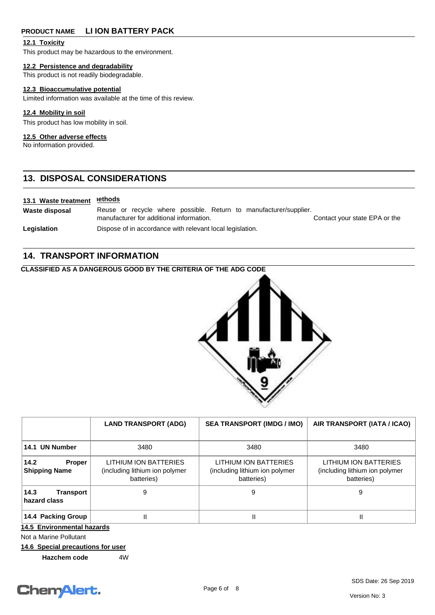#### **12.1 Toxicity**

This product may be hazardous to the environment.

#### **12.2 Persistence and degradability**

This product is not readily biodegradable.

### **12.3 Bioaccumulative potential**

Limited information was available at the time of this review.

### **12.4 Mobility in soil**

This product has low mobility in soil.

#### **12.5 Other adverse effects**

No information provided.

### **13. DISPOSAL CONSIDERATIONS**

#### **13.1 Waste treatment <u>nethods</u>**

**Waste disposal** Reuse or recycle where possible. Return to manufacturer/supplier. manufacturer for additional information. The contact your state EPA or the contact your state EPA or the Legislation **Dispose of in accordance with relevant local legislation.** 

### **14. TRANSPORT INFORMATION**

### **CLASSIFIED AS A DANGEROUS GOOD BY THE CRITERIA OF THE ADG CODE**



|                                               | <b>LAND TRANSPORT (ADG)</b>                                           | <b>SEA TRANSPORT (IMDG / IMO)</b>                                     | AIR TRANSPORT (IATA / ICAO)                                           |  |
|-----------------------------------------------|-----------------------------------------------------------------------|-----------------------------------------------------------------------|-----------------------------------------------------------------------|--|
| 14.1 UN Number                                | 3480                                                                  | 3480                                                                  | 3480                                                                  |  |
| 14.2<br><b>Proper</b><br><b>Shipping Name</b> | LITHIUM ION BATTERIES<br>(including lithium ion polymer<br>batteries) | LITHIUM ION BATTERIES<br>(including lithium ion polymer<br>batteries) | LITHIUM ION BATTERIES<br>(including lithium ion polymer<br>batteries) |  |
| 14.3<br>Transport<br>hazard class             | 9                                                                     | 9                                                                     | 9                                                                     |  |
| 14.4 Packing Group                            |                                                                       | Ш                                                                     | Ш                                                                     |  |
| 14.5 Environmental hazards                    |                                                                       |                                                                       |                                                                       |  |

Not a Marine Pollutant

### **14.6 Special precautions for user**

**Hazchem code 4W** 

# Chem Alert.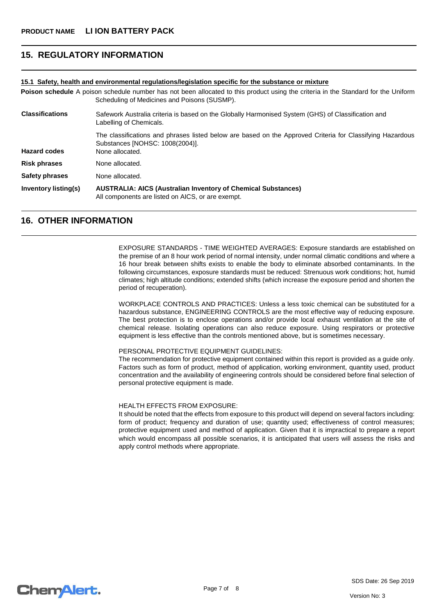### **15. REGULATORY INFORMATION**

#### **15.1 Safety, health and environmental regulations/legislation specific for the substance or mixture**

Poison schedule A poison schedule number has not been allocated to this product using the criteria in the Standard for the Uniform Scheduling of Medicines and Poisons (SUSMP). **Classifications** Safework Australia criteria is based on the Globally Harmonised System (GHS) of Classification and Labelling of Chemicals.

The classifications and phrases listed below are based on the Approved Criteria for Classifying Hazardous Substances [NOHSC: 1008(2004)]. **Hazard codes** None allocated.

**Risk phrases** None allocated.

**Safety phrases** None allocated.

**Inventory listing(s) AUSTRALIA: AICS (Australian Inventory of Chemical Substances)**  All components are listed on AICS, or are exempt.

### **16. OTHER INFORMATION**

EXPOSURE STANDARDS - TIME WEIGHTED AVERAGES: Exposure standards are established on the premise of an 8 hour work period of normal intensity, under normal climatic conditions and where a 16 hour break between shifts exists to enable the body to eliminate absorbed contaminants. In the following circumstances, exposure standards must be reduced: Strenuous work conditions; hot, humid climates; high altitude conditions; extended shifts (which increase the exposure period and shorten the period of recuperation).

WORKPLACE CONTROLS AND PRACTICES: Unless a less toxic chemical can be substituted for a hazardous substance, ENGINEERING CONTROLS are the most effective way of reducing exposure. The best protection is to enclose operations and/or provide local exhaust ventilation at the site of chemical release. Isolating operations can also reduce exposure. Using respirators or protective equipment is less effective than the controls mentioned above, but is sometimes necessary.

#### PERSONAL PROTECTIVE EQUIPMENT GUIDELINES:

The recommendation for protective equipment contained within this report is provided as a guide only. Factors such as form of product, method of application, working environment, quantity used, product concentration and the availability of engineering controls should be considered before final selection of personal protective equipment is made.

#### HEALTH EFFECTS FROM EXPOSURE:

It should be noted that the effects from exposure to this product will depend on several factors including: form of product; frequency and duration of use; quantity used; effectiveness of control measures; protective equipment used and method of application. Given that it is impractical to prepare a report which would encompass all possible scenarios, it is anticipated that users will assess the risks and apply control methods where appropriate.